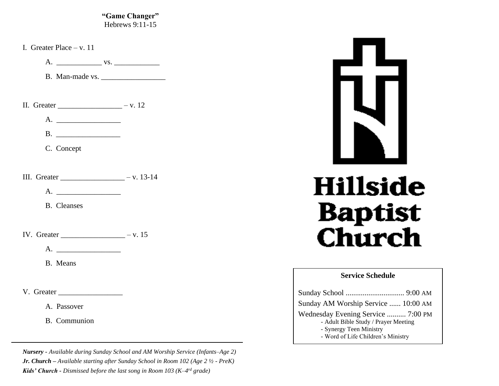**"Game Changer"** Hebrews 9:11-15

I. Greater Place – v. 11

A. \_\_\_\_\_\_\_\_\_\_\_\_ vs. \_\_\_\_\_\_\_\_\_\_\_\_

B. Man-made vs.

II. Greater  $-$  v. 12

A. \_\_\_\_\_\_\_\_\_\_\_\_\_\_\_\_\_

B.

C. Concept

III. Greater \_\_\_\_\_\_\_\_\_\_\_\_\_\_\_\_\_ – v. 13-14

A. \_\_\_\_\_\_\_\_\_\_\_\_\_\_\_\_\_

B. Cleanses

IV. Greater  $-$  v. 15

 $A.$ 

B. Means

V. Greater \_\_\_\_\_\_\_\_\_\_\_\_\_\_\_\_\_

A. Passover

B. Communion

*Nursery - Available during Sunday School and AM Worship Service (Infants–Age 2) Jr. Church – Available starting after Sunday School in Room 102 (Age 2 ½ - PreK) Kids' Church - Dismissed before the last song in Room 103 (K–4 rd grade)*



# **Hillside Baptist Church**

### **Service Schedule**

| Sunday AM Worship Service  10:00 AM                                                                                                         |  |
|---------------------------------------------------------------------------------------------------------------------------------------------|--|
| Wednesday Evening Service  7:00 PM<br>- Adult Bible Study / Prayer Meeting<br>- Synergy Teen Ministry<br>- Word of Life Children's Ministry |  |